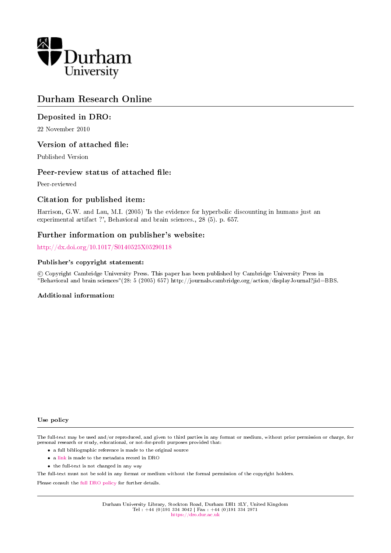

# Durham Research Online

# Deposited in DRO:

22 November 2010

# Version of attached file:

Published Version

### Peer-review status of attached file:

Peer-reviewed

# Citation for published item:

Harrison, G.W. and Lau, M.I. (2005) 'Is the evidence for hyperbolic discounting in humans just an experimental artifact ?', Behavioral and brain sciences., 28 (5). p. 657.

# Further information on publisher's website:

<http://dx.doi.org/10.1017/S0140525X05290118>

### Publisher's copyright statement:

 c Copyright Cambridge University Press. This paper has been published by Cambridge University Press in "Behavioral and brain sciences"(28: 5 (2005) 657) http://journals.cambridge.org/action/displayJournal?jid=BBS.

### Additional information:

#### Use policy

The full-text may be used and/or reproduced, and given to third parties in any format or medium, without prior permission or charge, for personal research or study, educational, or not-for-profit purposes provided that:

- a full bibliographic reference is made to the original source
- a [link](http://dro.dur.ac.uk/7511/) is made to the metadata record in DRO
- the full-text is not changed in any way

The full-text must not be sold in any format or medium without the formal permission of the copyright holders.

Please consult the [full DRO policy](https://dro.dur.ac.uk/policies/usepolicy.pdf) for further details.